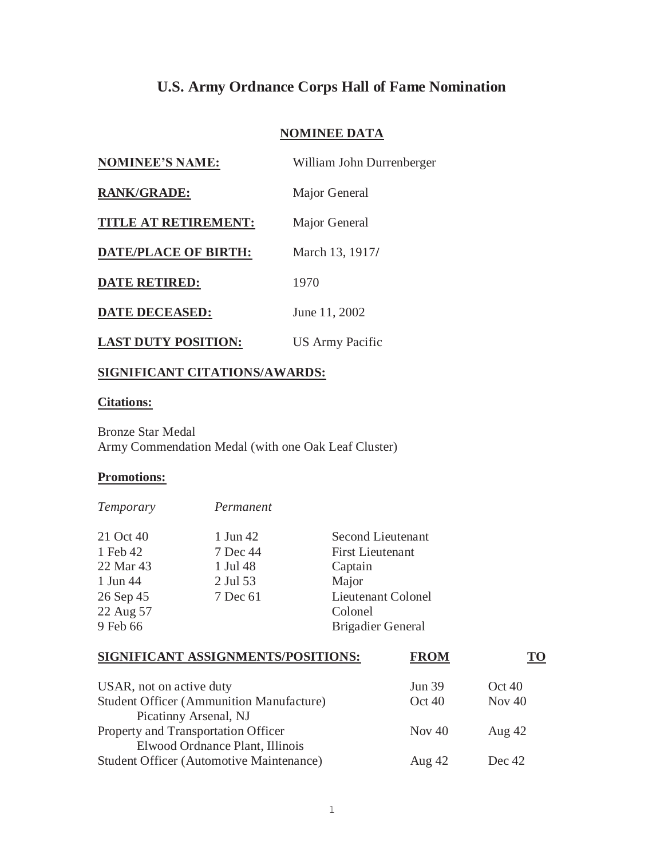## **U.S. Army Ordnance Corps Hall of Fame Nomination**

## **NOMINEE DATA**

| <b>NOMINEE'S NAME:</b>      | William John Durrenberger |
|-----------------------------|---------------------------|
| <b>RANK/GRADE:</b>          | Major General             |
| <b>TITLE AT RETIREMENT:</b> | Major General             |
| <b>DATE/PLACE OF BIRTH:</b> | March 13, 1917/           |
| <b>DATE RETIRED:</b>        | 1970                      |
| <b>DATE DECEASED:</b>       | June 11, 2002             |
| <b>LAST DUTY POSITION:</b>  | US Army Pacific           |

## **SIGNIFICANT CITATIONS/AWARDS:**

*Temporary Permanent* 

## **Citations:**

Bronze Star Medal Army Commendation Medal (with one Oak Leaf Cluster)

## **Promotions:**

| 1 Jun 42 | Second Lieutenant        |
|----------|--------------------------|
| 7 Dec 44 | <b>First Lieutenant</b>  |
| 1 Jul 48 | Captain                  |
| 2 Jul 53 | Major                    |
| 7 Dec 61 | Lieutenant Colonel       |
|          | Colonel                  |
|          | <b>Brigadier General</b> |
|          |                          |

# **SIGNIFICANT ASSIGNMENTS/POSITIONS:** FROM TO

| USAR, not on active duty<br><b>Student Officer (Ammunition Manufacture)</b>        | <b>Jun 39</b><br>Oct40 | Oct40<br>Nov $40$ |
|------------------------------------------------------------------------------------|------------------------|-------------------|
| Picatinny Arsenal, NJ<br>Property and Transportation Officer                       | Nov $40$               | Aug $42$          |
| Elwood Ordnance Plant, Illinois<br><b>Student Officer (Automotive Maintenance)</b> | Aug $42$               | Dec 42            |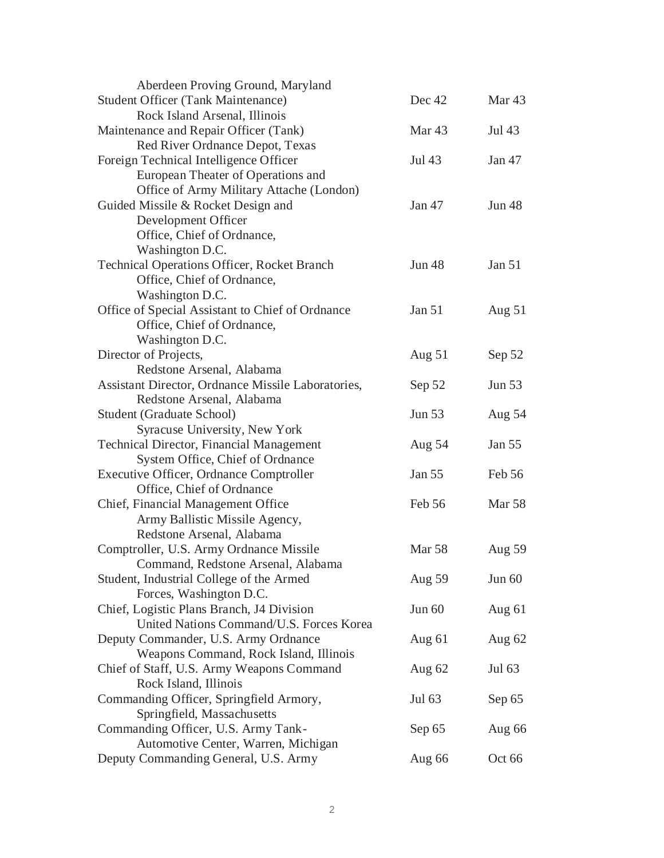| Aberdeen Proving Ground, Maryland                  |                   |                   |
|----------------------------------------------------|-------------------|-------------------|
| <b>Student Officer (Tank Maintenance)</b>          | Dec 42            | Mar <sub>43</sub> |
| Rock Island Arsenal, Illinois                      |                   |                   |
| Maintenance and Repair Officer (Tank)              | Mar <sub>43</sub> | Jul 43            |
| Red River Ordnance Depot, Texas                    |                   |                   |
| Foreign Technical Intelligence Officer             | Jul 43            | Jan 47            |
| European Theater of Operations and                 |                   |                   |
| Office of Army Military Attache (London)           |                   |                   |
| Guided Missile & Rocket Design and                 | Jan 47            | <b>Jun 48</b>     |
| Development Officer                                |                   |                   |
| Office, Chief of Ordnance,                         |                   |                   |
| Washington D.C.                                    |                   |                   |
| <b>Technical Operations Officer, Rocket Branch</b> | <b>Jun 48</b>     | Jan 51            |
| Office, Chief of Ordnance,                         |                   |                   |
| Washington D.C.                                    |                   |                   |
| Office of Special Assistant to Chief of Ordnance   | <b>Jan 51</b>     | Aug $51$          |
| Office, Chief of Ordnance,                         |                   |                   |
| Washington D.C.                                    |                   |                   |
| Director of Projects,                              | Aug $51$          | Sep 52            |
| Redstone Arsenal, Alabama                          |                   |                   |
| Assistant Director, Ordnance Missile Laboratories, | Sep 52            | Jun 53            |
| Redstone Arsenal, Alabama                          |                   |                   |
| Student (Graduate School)                          | <b>Jun 53</b>     | Aug 54            |
| Syracuse University, New York                      |                   |                   |
| <b>Technical Director, Financial Management</b>    | Aug 54            | Jan 55            |
| System Office, Chief of Ordnance                   |                   |                   |
| <b>Executive Officer, Ordnance Comptroller</b>     | Jan 55            | Feb 56            |
| Office, Chief of Ordnance                          |                   |                   |
| Chief, Financial Management Office                 | Feb 56            | <b>Mar 58</b>     |
| Army Ballistic Missile Agency,                     |                   |                   |
| Redstone Arsenal, Alabama                          |                   |                   |
| Comptroller, U.S. Army Ordnance Missile            | <b>Mar 58</b>     | Aug 59            |
| Command, Redstone Arsenal, Alabama                 |                   |                   |
| Student, Industrial College of the Armed           | Aug 59            | Jun 60            |
| Forces, Washington D.C.                            |                   |                   |
| Chief, Logistic Plans Branch, J4 Division          | Jun 60            | Aug $61$          |
| United Nations Command/U.S. Forces Korea           |                   |                   |
| Deputy Commander, U.S. Army Ordnance               | Aug 61            | Aug $62$          |
| Weapons Command, Rock Island, Illinois             |                   |                   |
| Chief of Staff, U.S. Army Weapons Command          | Aug 62            | Jul 63            |
| Rock Island, Illinois                              |                   |                   |
| Commanding Officer, Springfield Armory,            | Jul 63            | Sep 65            |
| Springfield, Massachusetts                         |                   |                   |
| Commanding Officer, U.S. Army Tank-                | Sep 65            | Aug 66            |
| Automotive Center, Warren, Michigan                |                   |                   |
| Deputy Commanding General, U.S. Army               | Aug 66            | Oct 66            |
|                                                    |                   |                   |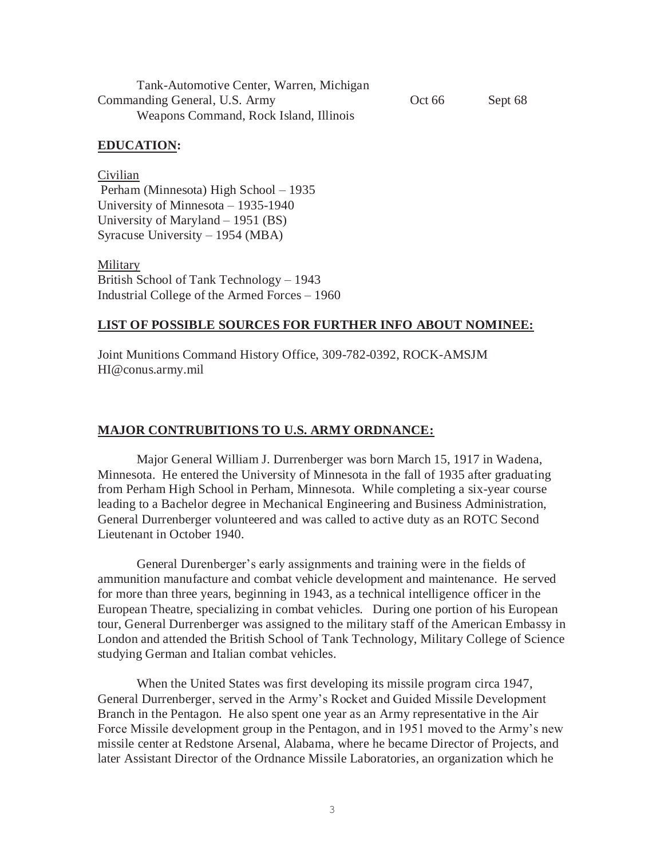| Tank-Automotive Center, Warren, Michigan |        |         |
|------------------------------------------|--------|---------|
| Commanding General, U.S. Army            | Oct 66 | Sept 68 |
| Weapons Command, Rock Island, Illinois   |        |         |

#### **EDUCATION:**

Civilian Perham (Minnesota) High School – 1935 University of Minnesota – 1935-1940 University of Maryland – 1951 (BS) Syracuse University – 1954 (MBA)

**Military** British School of Tank Technology – 1943 Industrial College of the Armed Forces – 1960

#### **LIST OF POSSIBLE SOURCES FOR FURTHER INFO ABOUT NOMINEE:**

Joint Munitions Command History Office, 309-782-0392, ROCK-AMSJM HI@conus.army.mil

#### **MAJOR CONTRUBITIONS TO U.S. ARMY ORDNANCE:**

Major General William J. Durrenberger was born March 15, 1917 in Wadena, Minnesota. He entered the University of Minnesota in the fall of 1935 after graduating from Perham High School in Perham, Minnesota. While completing a six-year course leading to a Bachelor degree in Mechanical Engineering and Business Administration, General Durrenberger volunteered and was called to active duty as an ROTC Second Lieutenant in October 1940.

General Durenberger's early assignments and training were in the fields of ammunition manufacture and combat vehicle development and maintenance. He served for more than three years, beginning in 1943, as a technical intelligence officer in the European Theatre, specializing in combat vehicles. During one portion of his European tour, General Durrenberger was assigned to the military staff of the American Embassy in London and attended the British School of Tank Technology, Military College of Science studying German and Italian combat vehicles.

When the United States was first developing its missile program circa 1947, General Durrenberger, served in the Army's Rocket and Guided Missile Development Branch in the Pentagon. He also spent one year as an Army representative in the Air Force Missile development group in the Pentagon, and in 1951 moved to the Army's new missile center at Redstone Arsenal, Alabama, where he became Director of Projects, and later Assistant Director of the Ordnance Missile Laboratories, an organization which he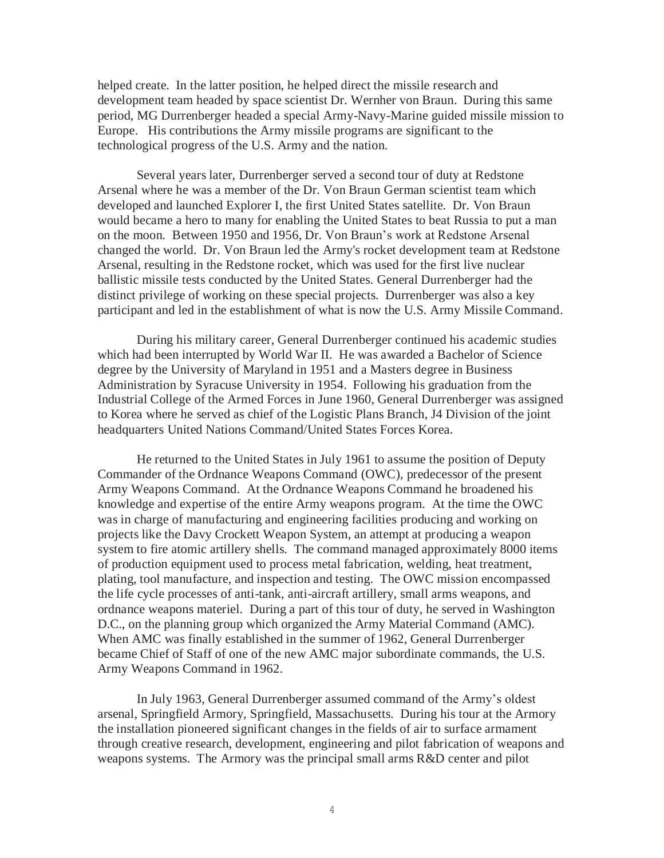helped create. In the latter position, he helped direct the missile research and development team headed by space scientist Dr. Wernher von Braun. During this same period, MG Durrenberger headed a special Army-Navy-Marine guided missile mission to Europe. His contributions the Army missile programs are significant to the technological progress of the U.S. Army and the nation.

Several years later, Durrenberger served a second tour of duty at Redstone Arsenal where he was a member of the Dr. Von Braun German scientist team which developed and launched Explorer I, the first United States satellite. Dr. Von Braun would became a hero to many for enabling the United States to beat Russia to put a man on the moon. Between 1950 and 1956, Dr. Von Braun's work at Redstone Arsenal changed the world. Dr. Von Braun led the Army's rocket development team at Redstone Arsenal, resulting in the Redstone rocket, which was used for the first live nuclear ballistic missile tests conducted by the United States. General Durrenberger had the distinct privilege of working on these special projects. Durrenberger was also a key participant and led in the establishment of what is now the U.S. Army Missile Command.

During his military career, General Durrenberger continued his academic studies which had been interrupted by World War II. He was awarded a Bachelor of Science degree by the University of Maryland in 1951 and a Masters degree in Business Administration by Syracuse University in 1954. Following his graduation from the Industrial College of the Armed Forces in June 1960, General Durrenberger was assigned to Korea where he served as chief of the Logistic Plans Branch, J4 Division of the joint headquarters United Nations Command/United States Forces Korea.

He returned to the United States in July 1961 to assume the position of Deputy Commander of the Ordnance Weapons Command (OWC), predecessor of the present Army Weapons Command. At the Ordnance Weapons Command he broadened his knowledge and expertise of the entire Army weapons program. At the time the OWC was in charge of manufacturing and engineering facilities producing and working on projects like the Davy Crockett Weapon System, an attempt at producing a weapon system to fire atomic artillery shells. The command managed approximately 8000 items of production equipment used to process metal fabrication, welding, heat treatment, plating, tool manufacture, and inspection and testing. The OWC mission encompassed the life cycle processes of anti-tank, anti-aircraft artillery, small arms weapons, and ordnance weapons materiel. During a part of this tour of duty, he served in Washington D.C., on the planning group which organized the Army Material Command (AMC). When AMC was finally established in the summer of 1962, General Durrenberger became Chief of Staff of one of the new AMC major subordinate commands, the U.S. Army Weapons Command in 1962.

In July 1963, General Durrenberger assumed command of the Army's oldest arsenal, Springfield Armory, Springfield, Massachusetts. During his tour at the Armory the installation pioneered significant changes in the fields of air to surface armament through creative research, development, engineering and pilot fabrication of weapons and weapons systems. The Armory was the principal small arms R&D center and pilot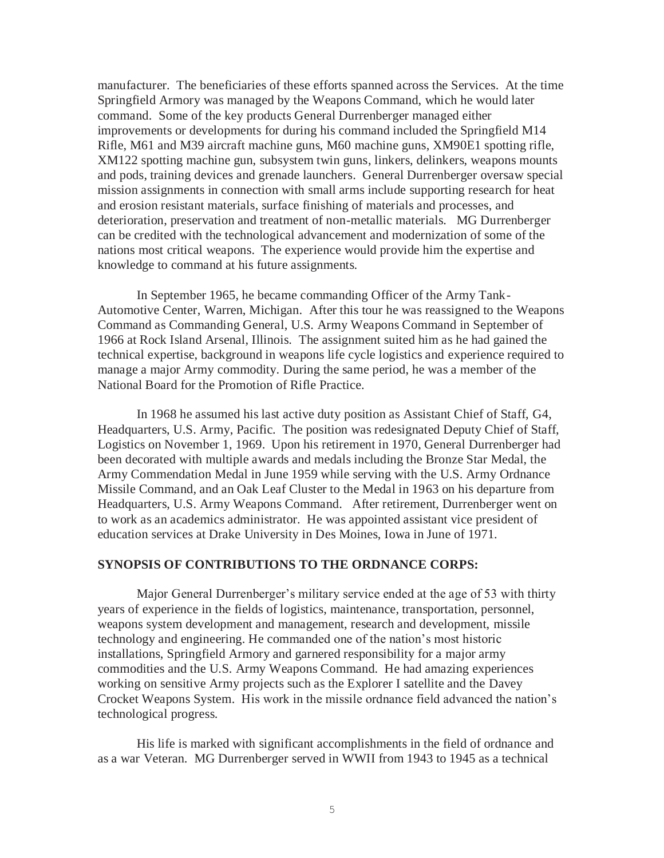manufacturer. The beneficiaries of these efforts spanned across the Services. At the time Springfield Armory was managed by the Weapons Command, which he would later command. Some of the key products General Durrenberger managed either improvements or developments for during his command included the Springfield M14 Rifle, M61 and M39 aircraft machine guns, M60 machine guns, XM90E1 spotting rifle, XM122 spotting machine gun, subsystem twin guns, linkers, delinkers, weapons mounts and pods, training devices and grenade launchers. General Durrenberger oversaw special mission assignments in connection with small arms include supporting research for heat and erosion resistant materials, surface finishing of materials and processes, and deterioration, preservation and treatment of non-metallic materials. MG Durrenberger can be credited with the technological advancement and modernization of some of the nations most critical weapons. The experience would provide him the expertise and knowledge to command at his future assignments.

In September 1965, he became commanding Officer of the Army Tank-Automotive Center, Warren, Michigan. After this tour he was reassigned to the Weapons Command as Commanding General, U.S. Army Weapons Command in September of 1966 at Rock Island Arsenal, Illinois. The assignment suited him as he had gained the technical expertise, background in weapons life cycle logistics and experience required to manage a major Army commodity. During the same period, he was a member of the National Board for the Promotion of Rifle Practice.

In 1968 he assumed his last active duty position as Assistant Chief of Staff, G4, Headquarters, U.S. Army, Pacific. The position was redesignated Deputy Chief of Staff, Logistics on November 1, 1969. Upon his retirement in 1970, General Durrenberger had been decorated with multiple awards and medals including the Bronze Star Medal, the Army Commendation Medal in June 1959 while serving with the U.S. Army Ordnance Missile Command, and an Oak Leaf Cluster to the Medal in 1963 on his departure from Headquarters, U.S. Army Weapons Command. After retirement, Durrenberger went on to work as an academics administrator. He was appointed assistant vice president of education services at Drake University in Des Moines, Iowa in June of 1971.

#### **SYNOPSIS OF CONTRIBUTIONS TO THE ORDNANCE CORPS:**

Major General Durrenberger's military service ended at the age of 53 with thirty years of experience in the fields of logistics, maintenance, transportation, personnel, weapons system development and management, research and development, missile technology and engineering. He commanded one of the nation's most historic installations, Springfield Armory and garnered responsibility for a major army commodities and the U.S. Army Weapons Command. He had amazing experiences working on sensitive Army projects such as the Explorer I satellite and the Davey Crocket Weapons System. His work in the missile ordnance field advanced the nation's technological progress.

His life is marked with significant accomplishments in the field of ordnance and as a war Veteran. MG Durrenberger served in WWII from 1943 to 1945 as a technical